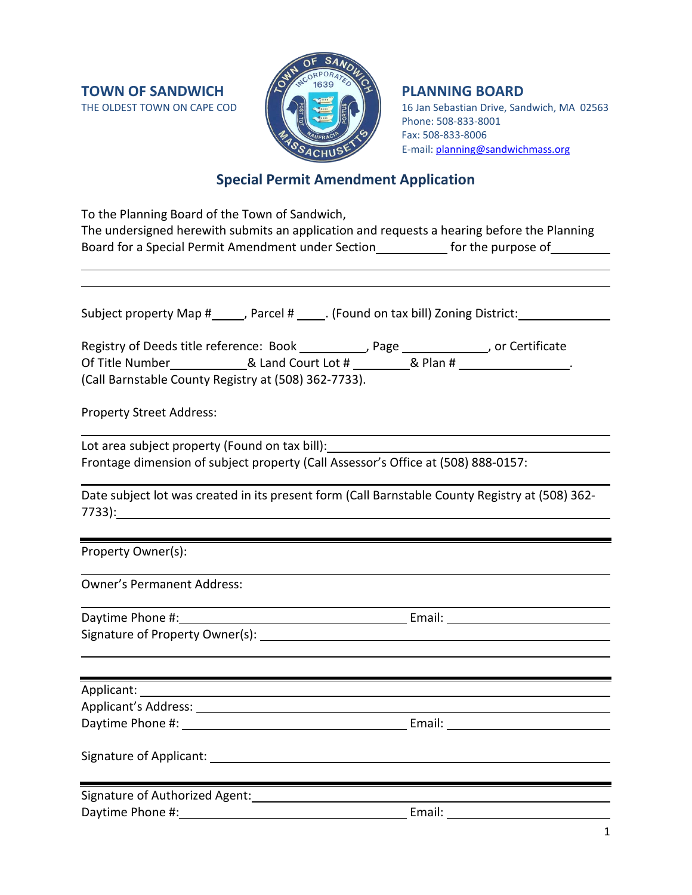**TOWN OF SANDWICH THE OLDEST TOWN ON CAPE COD** 



16 Jan Sebastian Drive, Sandwich, MA 02563 Phone: 508-833-8001 Fax: 508-833-8006 E-mail: [planning@sandwichmass.org](mailto:planning@sandwichmass.org)

# **Special Permit Amendment Application**

| To the Planning Board of the Town of Sandwich,                                                                                                                                                                                 |                                                                                                                |  |
|--------------------------------------------------------------------------------------------------------------------------------------------------------------------------------------------------------------------------------|----------------------------------------------------------------------------------------------------------------|--|
|                                                                                                                                                                                                                                | The undersigned herewith submits an application and requests a hearing before the Planning                     |  |
|                                                                                                                                                                                                                                | Board for a Special Permit Amendment under Section______________ for the purpose of__________                  |  |
|                                                                                                                                                                                                                                |                                                                                                                |  |
|                                                                                                                                                                                                                                |                                                                                                                |  |
|                                                                                                                                                                                                                                |                                                                                                                |  |
|                                                                                                                                                                                                                                | Subject property Map #_____, Parcel # _____. (Found on tax bill) Zoning District: _________________            |  |
| Registry of Deeds title reference: Book __________, Page ____________, or Certificate                                                                                                                                          |                                                                                                                |  |
| Of Title Number_______________& Land Court Lot # ___________& Plan # _________________.                                                                                                                                        |                                                                                                                |  |
| (Call Barnstable County Registry at (508) 362-7733).                                                                                                                                                                           |                                                                                                                |  |
| <b>Property Street Address:</b>                                                                                                                                                                                                |                                                                                                                |  |
|                                                                                                                                                                                                                                |                                                                                                                |  |
| Lot area subject property (Found on tax bill): _________________________________                                                                                                                                               |                                                                                                                |  |
| Frontage dimension of subject property (Call Assessor's Office at (508) 888-0157:                                                                                                                                              |                                                                                                                |  |
|                                                                                                                                                                                                                                |                                                                                                                |  |
|                                                                                                                                                                                                                                | Date subject lot was created in its present form (Call Barnstable County Registry at (508) 362-                |  |
|                                                                                                                                                                                                                                |                                                                                                                |  |
|                                                                                                                                                                                                                                |                                                                                                                |  |
| Property Owner(s):                                                                                                                                                                                                             |                                                                                                                |  |
| <b>Owner's Permanent Address:</b>                                                                                                                                                                                              |                                                                                                                |  |
|                                                                                                                                                                                                                                |                                                                                                                |  |
|                                                                                                                                                                                                                                |                                                                                                                |  |
|                                                                                                                                                                                                                                |                                                                                                                |  |
|                                                                                                                                                                                                                                |                                                                                                                |  |
|                                                                                                                                                                                                                                |                                                                                                                |  |
| Applicant: Applicant and Applicant and Applicant and Applicant and Applicant and Applicant and Applicant and Applicant and Applicant and Applicant and Applicant and Applicant and Applicant and Applicant and Applicant and A |                                                                                                                |  |
| <b>Applicant's Address:</b>                                                                                                                                                                                                    |                                                                                                                |  |
|                                                                                                                                                                                                                                |                                                                                                                |  |
|                                                                                                                                                                                                                                |                                                                                                                |  |
|                                                                                                                                                                                                                                |                                                                                                                |  |
| Signature of Authorized Agent:<br>Signature of Authorized Agent:                                                                                                                                                               |                                                                                                                |  |
|                                                                                                                                                                                                                                | Email: 2008 2010 2010 2011 2021 2022 2023 2024 2022 2022 2023 2024 2022 2023 2024 2022 2023 2024 2025 2026 202 |  |
|                                                                                                                                                                                                                                |                                                                                                                |  |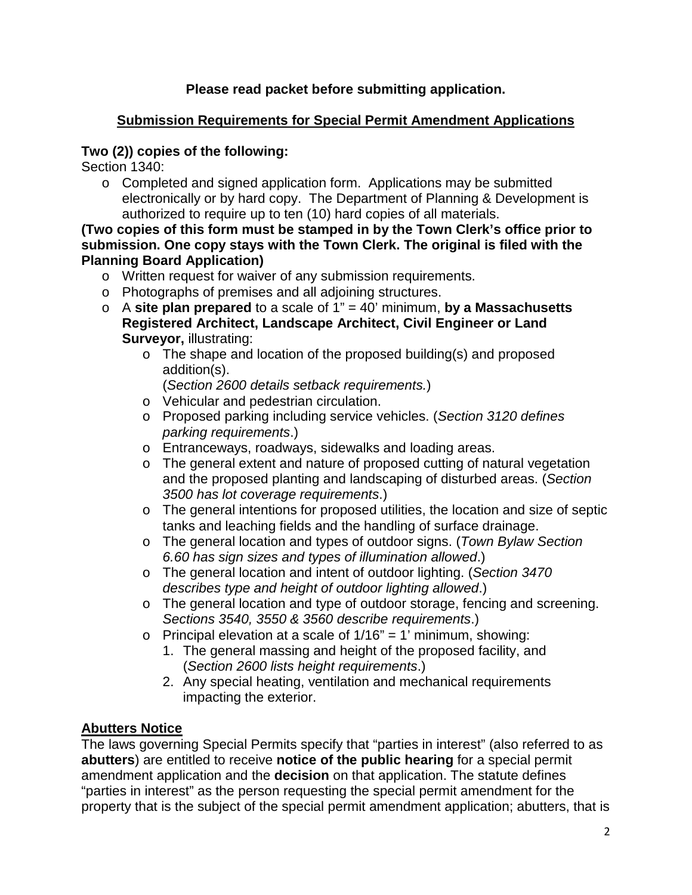### **Please read packet before submitting application.**

### **Submission Requirements for Special Permit Amendment Applications**

### **Two (2)) copies of the following:**

Section 1340:

 $\circ$  Completed and signed application form. Applications may be submitted electronically or by hard copy. The Department of Planning & Development is authorized to require up to ten (10) hard copies of all materials.

#### **(Two copies of this form must be stamped in by the Town Clerk's office prior to submission. One copy stays with the Town Clerk. The original is filed with the Planning Board Application)**

- o Written request for waiver of any submission requirements.
- o Photographs of premises and all adjoining structures.
- o A **site plan prepared** to a scale of 1" = 40' minimum, **by a Massachusetts Registered Architect, Landscape Architect, Civil Engineer or Land Surveyor,** illustrating:
	- o The shape and location of the proposed building(s) and proposed addition(s).

(*Section 2600 details setback requirements.*)

- o Vehicular and pedestrian circulation.
- o Proposed parking including service vehicles. (*Section 3120 defines parking requirements*.)
- o Entranceways, roadways, sidewalks and loading areas.
- o The general extent and nature of proposed cutting of natural vegetation and the proposed planting and landscaping of disturbed areas. (*Section 3500 has lot coverage requirements*.)
- o The general intentions for proposed utilities, the location and size of septic tanks and leaching fields and the handling of surface drainage.
- o The general location and types of outdoor signs. (*Town Bylaw Section 6.60 has sign sizes and types of illumination allowed*.)
- o The general location and intent of outdoor lighting. (*Section 3470 describes type and height of outdoor lighting allowed*.)
- o The general location and type of outdoor storage, fencing and screening. *Sections 3540, 3550 & 3560 describe requirements*.)
- $\circ$  Principal elevation at a scale of 1/16" = 1' minimum, showing:
	- 1. The general massing and height of the proposed facility, and (*Section 2600 lists height requirements*.)
	- 2. Any special heating, ventilation and mechanical requirements impacting the exterior.

# **Abutters Notice**

The laws governing Special Permits specify that "parties in interest" (also referred to as **abutters**) are entitled to receive **notice of the public hearing** for a special permit amendment application and the **decision** on that application. The statute defines "parties in interest" as the person requesting the special permit amendment for the property that is the subject of the special permit amendment application; abutters, that is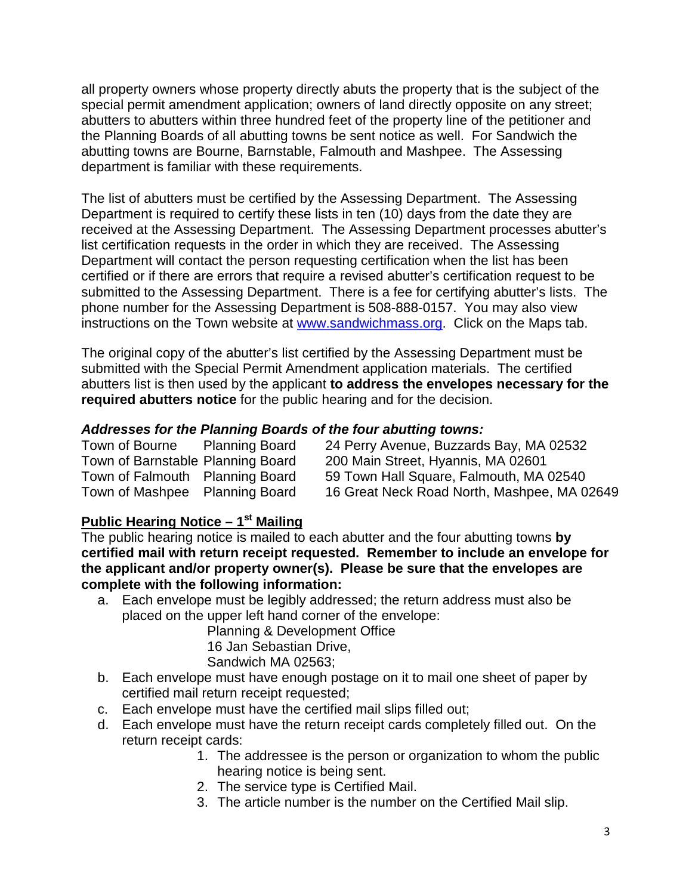all property owners whose property directly abuts the property that is the subject of the special permit amendment application; owners of land directly opposite on any street; abutters to abutters within three hundred feet of the property line of the petitioner and the Planning Boards of all abutting towns be sent notice as well. For Sandwich the abutting towns are Bourne, Barnstable, Falmouth and Mashpee. The Assessing department is familiar with these requirements.

The list of abutters must be certified by the Assessing Department. The Assessing Department is required to certify these lists in ten (10) days from the date they are received at the Assessing Department. The Assessing Department processes abutter's list certification requests in the order in which they are received. The Assessing Department will contact the person requesting certification when the list has been certified or if there are errors that require a revised abutter's certification request to be submitted to the Assessing Department. There is a fee for certifying abutter's lists. The phone number for the Assessing Department is 508-888-0157. You may also view instructions on the Town website at [www.sandwichmass.org.](http://www.sandwichmass.org/) Click on the Maps tab.

The original copy of the abutter's list certified by the Assessing Department must be submitted with the Special Permit Amendment application materials. The certified abutters list is then used by the applicant **to address the envelopes necessary for the required abutters notice** for the public hearing and for the decision.

#### *Addresses for the Planning Boards of the four abutting towns:*

| Town of Bourne                    | <b>Planning Board</b> | 24 Perry Avenue, Buzzards Bay, MA 02532     |
|-----------------------------------|-----------------------|---------------------------------------------|
| Town of Barnstable Planning Board |                       | 200 Main Street, Hyannis, MA 02601          |
| Town of Falmouth Planning Board   |                       | 59 Town Hall Square, Falmouth, MA 02540     |
| Town of Mashpee Planning Board    |                       | 16 Great Neck Road North, Mashpee, MA 02649 |

### **Public Hearing Notice – 1st Mailing**

The public hearing notice is mailed to each abutter and the four abutting towns **by certified mail with return receipt requested. Remember to include an envelope for the applicant and/or property owner(s). Please be sure that the envelopes are complete with the following information:**

a. Each envelope must be legibly addressed; the return address must also be placed on the upper left hand corner of the envelope:

Planning & Development Office 16 Jan Sebastian Drive, Sandwich MA 02563;

- b. Each envelope must have enough postage on it to mail one sheet of paper by certified mail return receipt requested;
- c. Each envelope must have the certified mail slips filled out;
- d. Each envelope must have the return receipt cards completely filled out. On the return receipt cards:
	- 1. The addressee is the person or organization to whom the public hearing notice is being sent.
	- 2. The service type is Certified Mail.
	- 3. The article number is the number on the Certified Mail slip.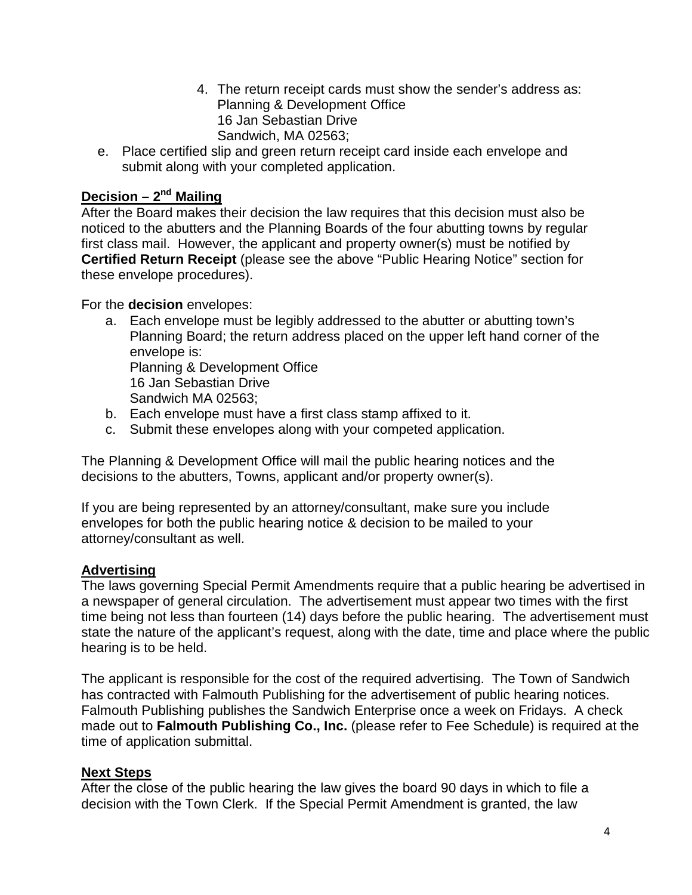- 4. The return receipt cards must show the sender's address as: Planning & Development Office 16 Jan Sebastian Drive Sandwich, MA 02563;
- e. Place certified slip and green return receipt card inside each envelope and submit along with your completed application.

# **Decision – 2nd Mailing**

After the Board makes their decision the law requires that this decision must also be noticed to the abutters and the Planning Boards of the four abutting towns by regular first class mail. However, the applicant and property owner(s) must be notified by **Certified Return Receipt** (please see the above "Public Hearing Notice" section for these envelope procedures).

For the **decision** envelopes:

- a. Each envelope must be legibly addressed to the abutter or abutting town's Planning Board; the return address placed on the upper left hand corner of the envelope is: Planning & Development Office 16 Jan Sebastian Drive Sandwich MA 02563;
- b. Each envelope must have a first class stamp affixed to it.
- c. Submit these envelopes along with your competed application.

The Planning & Development Office will mail the public hearing notices and the decisions to the abutters, Towns, applicant and/or property owner(s).

If you are being represented by an attorney/consultant, make sure you include envelopes for both the public hearing notice & decision to be mailed to your attorney/consultant as well.

#### **Advertising**

The laws governing Special Permit Amendments require that a public hearing be advertised in a newspaper of general circulation. The advertisement must appear two times with the first time being not less than fourteen (14) days before the public hearing. The advertisement must state the nature of the applicant's request, along with the date, time and place where the public hearing is to be held.

The applicant is responsible for the cost of the required advertising. The Town of Sandwich has contracted with Falmouth Publishing for the advertisement of public hearing notices. Falmouth Publishing publishes the Sandwich Enterprise once a week on Fridays. A check made out to **Falmouth Publishing Co., Inc.** (please refer to Fee Schedule) is required at the time of application submittal.

#### **Next Steps**

After the close of the public hearing the law gives the board 90 days in which to file a decision with the Town Clerk. If the Special Permit Amendment is granted, the law